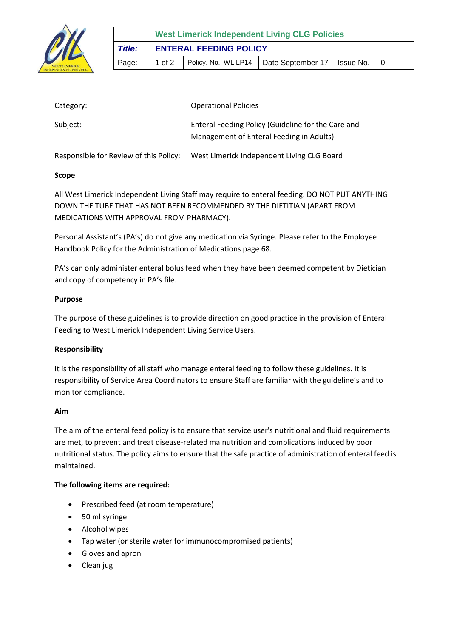

| Category:                              | <b>Operational Policies</b>                                                                    |
|----------------------------------------|------------------------------------------------------------------------------------------------|
| Subject:                               | Enteral Feeding Policy (Guideline for the Care and<br>Management of Enteral Feeding in Adults) |
| Responsible for Review of this Policy: | West Limerick Independent Living CLG Board                                                     |

## **Scope**

All West Limerick Independent Living Staff may require to enteral feeding. DO NOT PUT ANYTHING DOWN THE TUBE THAT HAS NOT BEEN RECOMMENDED BY THE DIETITIAN (APART FROM MEDICATIONS WITH APPROVAL FROM PHARMACY).

Personal Assistant's (PA's) do not give any medication via Syringe. Please refer to the Employee Handbook Policy for the Administration of Medications page 68.

PA's can only administer enteral bolus feed when they have been deemed competent by Dietician and copy of competency in PA's file.

## **Purpose**

The purpose of these guidelines is to provide direction on good practice in the provision of Enteral Feeding to West Limerick Independent Living Service Users.

# **Responsibility**

It is the responsibility of all staff who manage enteral feeding to follow these guidelines. It is responsibility of Service Area Coordinators to ensure Staff are familiar with the guideline's and to monitor compliance.

### **Aim**

The aim of the enteral feed policy is to ensure that service user's nutritional and fluid requirements are met, to prevent and treat disease-related malnutrition and complications induced by poor nutritional status. The policy aims to ensure that the safe practice of administration of enteral feed is maintained.

# **The following items are required:**

- Prescribed feed (at room temperature)
- 50 ml syringe
- Alcohol wipes
- Tap water (or sterile water for immunocompromised patients)
- Gloves and apron
- Clean jug